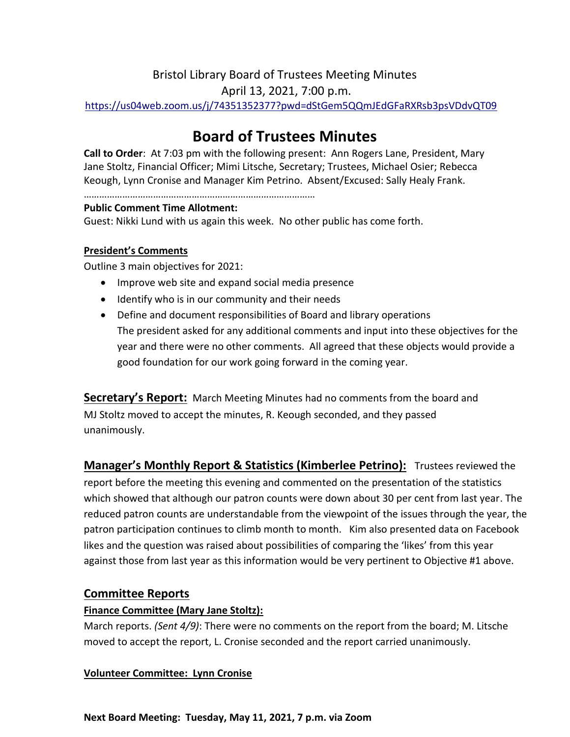# Bristol Library Board of Trustees Meeting Minutes

April 13, 2021, 7:00 p.m.

<https://us04web.zoom.us/j/74351352377?pwd=dStGem5QQmJEdGFaRXRsb3psVDdvQT09>

# **Board of Trustees Minutes**

**Call to Order**: At 7:03 pm with the following present: Ann Rogers Lane, President, Mary Jane Stoltz, Financial Officer; Mimi Litsche, Secretary; Trustees, Michael Osier; Rebecca Keough, Lynn Cronise and Manager Kim Petrino. Absent/Excused: Sally Healy Frank.

………………………………………………………………………………

#### **Public Comment Time Allotment:**

Guest: Nikki Lund with us again this week. No other public has come forth.

#### **President's Comments**

Outline 3 main objectives for 2021:

- Improve web site and expand social media presence
- Identify who is in our community and their needs
- Define and document responsibilities of Board and library operations The president asked for any additional comments and input into these objectives for the year and there were no other comments. All agreed that these objects would provide a good foundation for our work going forward in the coming year.

**Secretary's Report:** March Meeting Minutes had no comments from the board and MJ Stoltz moved to accept the minutes, R. Keough seconded, and they passed unanimously.

**Manager's Monthly Report & Statistics (Kimberlee Petrino):** Trustees reviewed the report before the meeting this evening and commented on the presentation of the statistics which showed that although our patron counts were down about 30 per cent from last year. The reduced patron counts are understandable from the viewpoint of the issues through the year, the patron participation continues to climb month to month. Kim also presented data on Facebook likes and the question was raised about possibilities of comparing the 'likes' from this year against those from last year as this information would be very pertinent to Objective #1 above.

# **Committee Reports**

## **Finance Committee (Mary Jane Stoltz):**

March reports. *(Sent 4/9)*: There were no comments on the report from the board; M. Litsche moved to accept the report, L. Cronise seconded and the report carried unanimously.

## **Volunteer Committee: Lynn Cronise**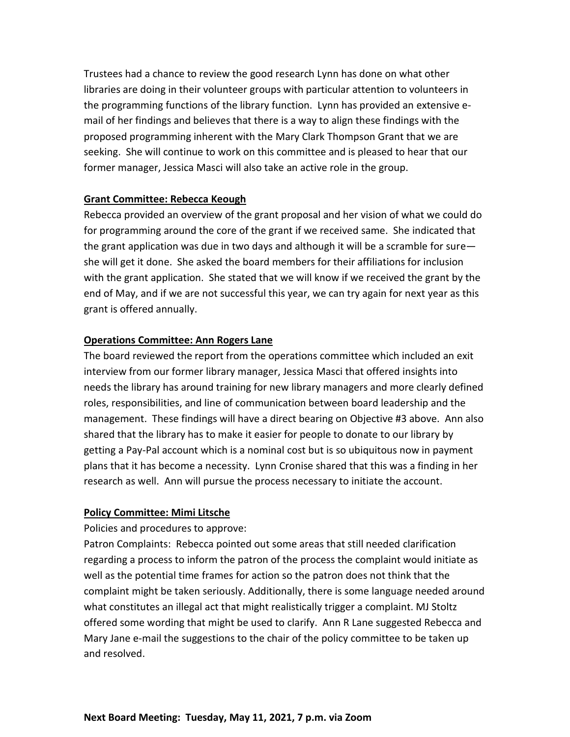Trustees had a chance to review the good research Lynn has done on what other libraries are doing in their volunteer groups with particular attention to volunteers in the programming functions of the library function. Lynn has provided an extensive email of her findings and believes that there is a way to align these findings with the proposed programming inherent with the Mary Clark Thompson Grant that we are seeking. She will continue to work on this committee and is pleased to hear that our former manager, Jessica Masci will also take an active role in the group.

#### **Grant Committee: Rebecca Keough**

Rebecca provided an overview of the grant proposal and her vision of what we could do for programming around the core of the grant if we received same. She indicated that the grant application was due in two days and although it will be a scramble for sure she will get it done. She asked the board members for their affiliations for inclusion with the grant application. She stated that we will know if we received the grant by the end of May, and if we are not successful this year, we can try again for next year as this grant is offered annually.

### **Operations Committee: Ann Rogers Lane**

The board reviewed the report from the operations committee which included an exit interview from our former library manager, Jessica Masci that offered insights into needs the library has around training for new library managers and more clearly defined roles, responsibilities, and line of communication between board leadership and the management. These findings will have a direct bearing on Objective #3 above. Ann also shared that the library has to make it easier for people to donate to our library by getting a Pay-Pal account which is a nominal cost but is so ubiquitous now in payment plans that it has become a necessity. Lynn Cronise shared that this was a finding in her research as well. Ann will pursue the process necessary to initiate the account.

#### **Policy Committee: Mimi Litsche**

Policies and procedures to approve:

Patron Complaints: Rebecca pointed out some areas that still needed clarification regarding a process to inform the patron of the process the complaint would initiate as well as the potential time frames for action so the patron does not think that the complaint might be taken seriously. Additionally, there is some language needed around what constitutes an illegal act that might realistically trigger a complaint. MJ Stoltz offered some wording that might be used to clarify. Ann R Lane suggested Rebecca and Mary Jane e-mail the suggestions to the chair of the policy committee to be taken up and resolved.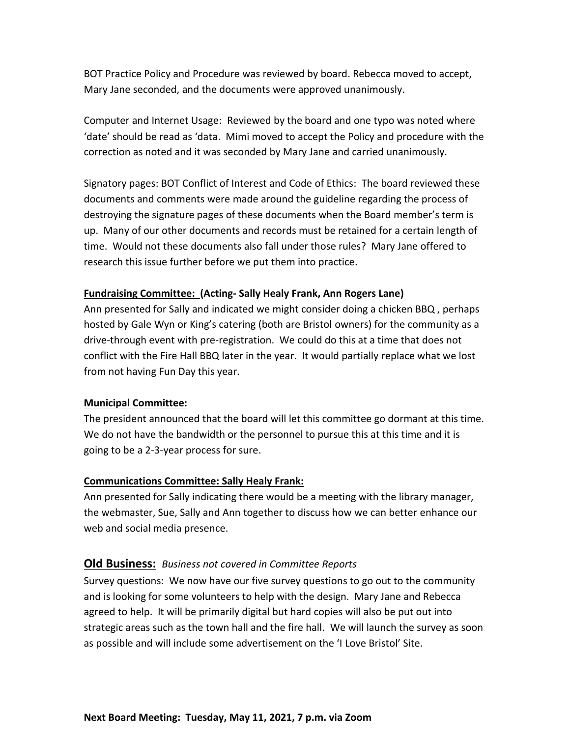BOT Practice Policy and Procedure was reviewed by board. Rebecca moved to accept, Mary Jane seconded, and the documents were approved unanimously.

Computer and Internet Usage: Reviewed by the board and one typo was noted where 'date' should be read as 'data. Mimi moved to accept the Policy and procedure with the correction as noted and it was seconded by Mary Jane and carried unanimously.

Signatory pages: BOT Conflict of Interest and Code of Ethics: The board reviewed these documents and comments were made around the guideline regarding the process of destroying the signature pages of these documents when the Board member's term is up. Many of our other documents and records must be retained for a certain length of time. Would not these documents also fall under those rules? Mary Jane offered to research this issue further before we put them into practice.

#### **Fundraising Committee: (Acting- Sally Healy Frank, Ann Rogers Lane)**

Ann presented for Sally and indicated we might consider doing a chicken BBQ , perhaps hosted by Gale Wyn or King's catering (both are Bristol owners) for the community as a drive-through event with pre-registration. We could do this at a time that does not conflict with the Fire Hall BBQ later in the year. It would partially replace what we lost from not having Fun Day this year.

#### **Municipal Committee:**

The president announced that the board will let this committee go dormant at this time. We do not have the bandwidth or the personnel to pursue this at this time and it is going to be a 2-3-year process for sure.

#### **Communications Committee: Sally Healy Frank:**

Ann presented for Sally indicating there would be a meeting with the library manager, the webmaster, Sue, Sally and Ann together to discuss how we can better enhance our web and social media presence.

#### **Old Business:** *Business not covered in Committee Reports*

Survey questions: We now have our five survey questions to go out to the community and is looking for some volunteers to help with the design. Mary Jane and Rebecca agreed to help. It will be primarily digital but hard copies will also be put out into strategic areas such as the town hall and the fire hall. We will launch the survey as soon as possible and will include some advertisement on the 'I Love Bristol' Site.